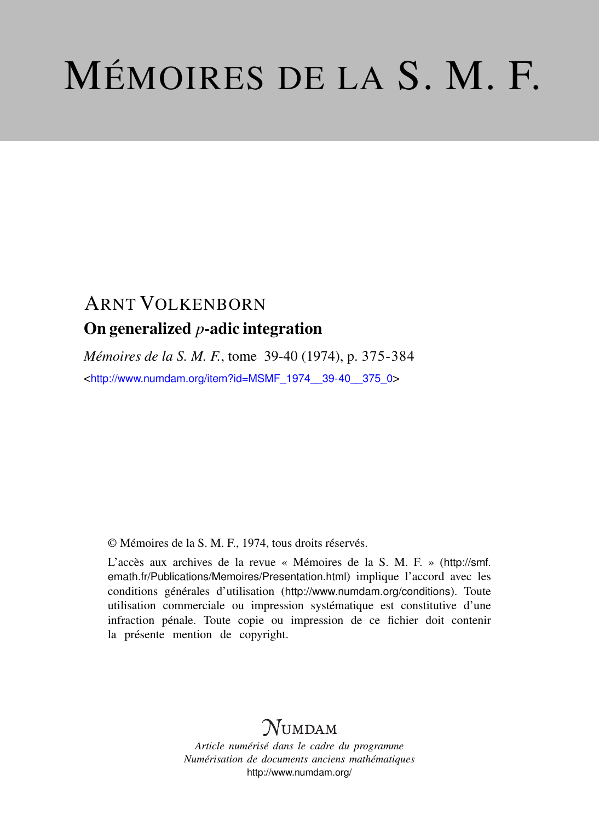# MÉMOIRES DE LA S. M. F.

# ARNT VOLKENBORN On generalized *p*-adic integration

*Mémoires de la S. M. F.*, tome 39-40 (1974), p. 375-384 <[http://www.numdam.org/item?id=MSMF\\_1974\\_\\_39-40\\_\\_375\\_0](http://www.numdam.org/item?id=MSMF_1974__39-40__375_0)>

© Mémoires de la S. M. F., 1974, tous droits réservés.

L'accès aux archives de la revue « Mémoires de la S. M. F. » ([http://smf.](http://smf.emath.fr/Publications/Memoires/Presentation.html) [emath.fr/Publications/Memoires/Presentation.html](http://smf.emath.fr/Publications/Memoires/Presentation.html)) implique l'accord avec les conditions générales d'utilisation (<http://www.numdam.org/conditions>). Toute utilisation commerciale ou impression systématique est constitutive d'une infraction pénale. Toute copie ou impression de ce fichier doit contenir la présente mention de copyright.

# **NUMDAM**

*Article numérisé dans le cadre du programme Numérisation de documents anciens mathématiques* <http://www.numdam.org/>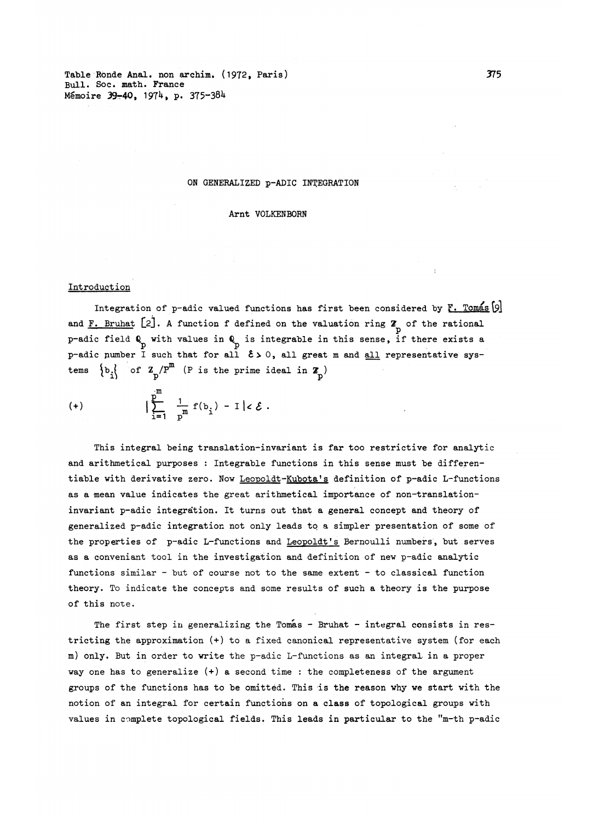Table Ronde Anal. non archim. (1972, Paris) 375 Bull. Soe. math. France Mémoire 39-40, 1974, p. 375-384

#### ON GENERALIZED p-ADIC INTEGRATION

Arnt VOLKENBORN

#### Introduction

Integration of p-adic valued functions has first been considered by  $\mathbb{F}$ . Tomas  $[9]$ and F. Bruhat [2]. A function f defined on the valuation ring Z<sub>n</sub> of the rational p-adic field Q with values in Q is integrable in this sense, if there exists a p-adic number  $\overline{1}$  such that for all  $\epsilon > 0$ , all great m and all representative systems  $\{b_i\}$  of  $\mathbf{Z}_p / P^m$  (P is the prime ideal in  $\mathbf{Z}_p$ )

(+) 
$$
\left| \sum_{i=1}^{m} \frac{1}{p^{m}} f(b_{i}) - I \right| < \mathcal{E}.
$$

This integral being translation-invariant is far too restrictive for analytic and arithmetical purposes : Integrable functions in this sense must be differentiable with derivative zero. Now Leopoldt-Kubota's definition of p-adic L-functions as a mean value indicates the great arithmetical importance of non-translationinvariant p-adic integration. It turns out that a general concept and theory of generalized p-adic integration not only leads to a simpler presentation of some of the properties of p-adic L-functions and Leopoldt's Bernoulli numbers, but serves as a conveniant tool in the investigation and definition of new p-adic analytic functions similar - but of course not to the same extent - to classical function theory. To indicate the concepts and some results of such a theory is the purpose of this note.

The first step in generalizing the Tomas - Bruhat - integral consists in restricting the approximation (+) to a fixed canonical representative system (for each m ) only. But in order to write the p-adic L-functions as an integral- in a proper way one has to generalize  $(+)$  a second time : the completeness of the argument groups of the functions has to be omitted. This is the reason why we start with the notion of an integral for certain functions on a class of topological groups with values in complete topological fields. This leads in particular to the "m-th p-adic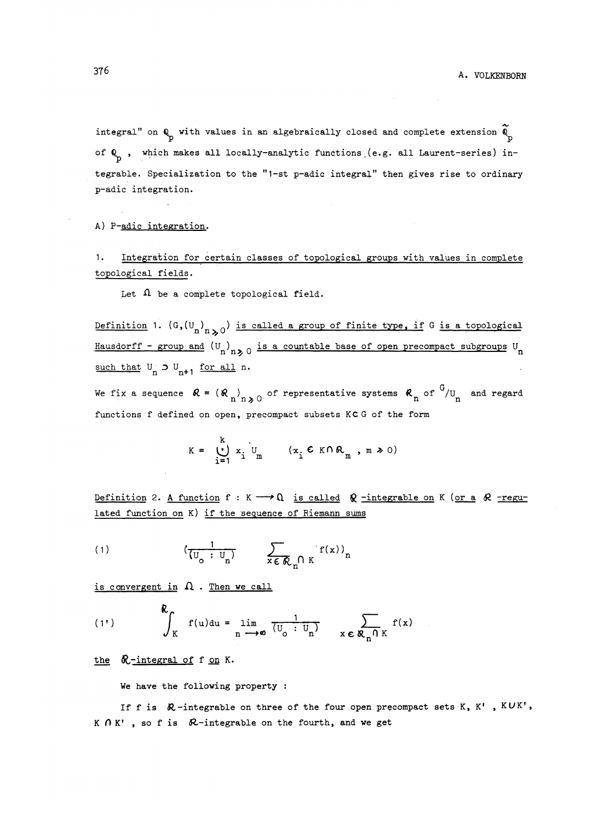integral" on  $Q_p$  with values in an algebraically closed and complete extension  $\widetilde{Q}_p$ of  $\mathbb{Q}_p$ , which makes all locally-analytic functions (e.g. all Laurent-series) in tegrable. Specialization to the "1-st p-adic integral" then gives rise to ordinary p-adic integration.

A) P-adic integration.

1 - Integration for certain classes of topological groups vith values in complete topological fields.

Let  $\Omega$  be a complete topological field.

Definition 1.  $(G,(U_n)_{n\geq 0})$  is called a group of finite type, if G is a topological Hausdorff - group and  $(U_n)_{n>0}$  is a countable base of open precompact subgroups  $U_n$ such that  $U_n \supset U_{n+1}$  for all n.

We fix a sequence  $\mathcal{R} = (\mathcal{R})$ , of representative systems  $\mathcal{R}$  of  $G$ /*U* and regard functions f defined on open, precompact subsets KC G of the form

$$
K = \bigcup_{i=1}^{k} x_i \bigcup_{m} (x_i \in K \cap R_m, m \ge 0)
$$

Definition 2. A function  $f : K \longrightarrow \Omega$  is called  $\Omega$  -integrable on K (or a  $\Omega$  -regulated function on K) if the 'sequence of Riemann sums

$$
(1) \qquad \qquad (\frac{1}{(U_o: U_n)} \qquad \sum_{x \in \mathcal{R}_n \cap K} f(x))_n
$$

is convergent in  $\Omega$ . Then we call

(1') 
$$
\oint_{K} f(u) du = \lim_{n \to \infty} \frac{1}{(U_{0} : U_{n})} \sum_{x \in R_{n} \cap K} f(x)
$$

the  $\&$ -integral of f on K.

We have the following property :

If f is  $\mathcal{R}-i$ ntegrable on three of the four open precompact sets K, K', KUK', K  $\bigcap K'$ , so f is  $\bigotimes$ -integrable on the fourth, and we get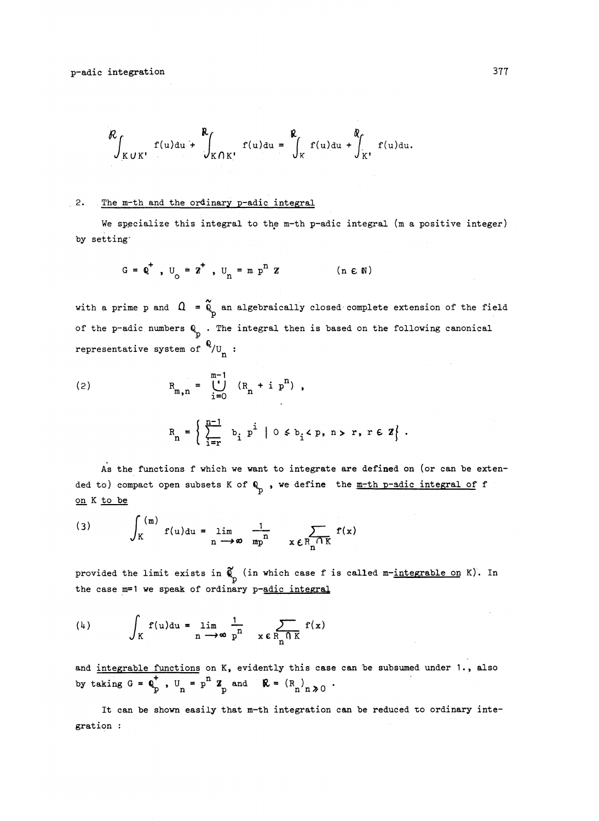$$
\mathcal{R}_{\int_{KUK^{\prime}}} f(u) du + \int_{KOK^{\prime}} f(u) du = \int_{K} \int_{K} f(u) du + \int_{K^{\prime}} f(u) du.
$$

#### 2. The m-th and the ordinary p-adic integral

We specialize this integral to the m-th p-adic integral (m a positive integer) by setting'

$$
G = Q^+
$$
,  $U_Q = Z^+$ ,  $U_R = m p^n Z$  (n  $\in$  N)

with a prime p and  $\Omega = \tilde{Q}_p$  an algebraically closed complete extension of the field of the p-adic numbers  $Q_n$ . The integral then is based on the following canonical representative system of  $\sqrt[6]{v}$ :

(2) 
$$
R_{m,n} = \bigcup_{i=0}^{m-1} (R_n + i p^n),
$$

$$
R_n = \left\{ \sum_{i=r}^{n-1} b_i p^i \mid 0 \leq b_i < p, n > r, r \in \mathbb{Z} \right\}.
$$

As the functions f which we want to integrate are defined on (or can be extended to) compact open subsets K of  $Q_{p}$ , we define the m-th p-adic integral of f on K to be

(3) 
$$
\int_{K}^{(m)} f(u) du = \lim_{n \to \infty} \frac{1}{mp^{n}} \sum_{x \in R_{n} \cap K} f(x)
$$

provided the limit exists in  $\widetilde{\phi}$  (in which case f is called m-integrable on K). In the case m=1 we speak of ordinary p-adic integral

$$
\text{(4)} \qquad \int_K f(u) \, du = \lim_{n \to \infty} \frac{1}{p^n} \quad \sum_{x \in R_n \cap K} f(x)
$$

and integrable functions on K, evidently this case can be subsumed under 1., also by taking  $G = \mathbf{Q}^{\dagger}$ ,  $U^{\dagger} = p^{\dagger} Z^{\dagger}$  and  $\mathbf{R} = (R^{\dagger})^{\dagger}$  ,  $\lambda$ 

It can be shown easily that  $m-th$  integration can be reduced to ordinary integration :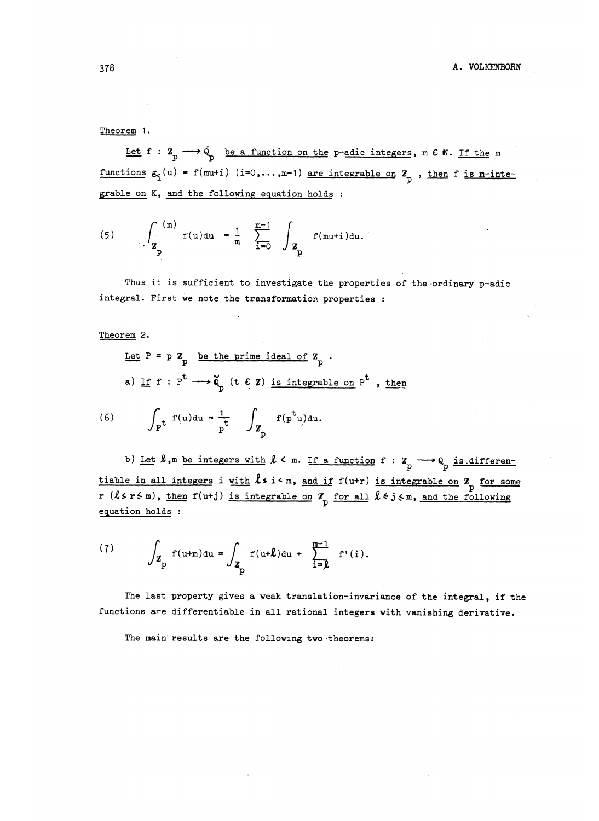Let  $f : Z_p \longrightarrow \dot{Q}$  be a function on the p-adic integers, m  $C N$ . If the m functions  $g^{\prime}_i(u) = f(\text{mu}+i)$  (i=0,...,m-1) are integrable on  $Z_p$  , then f is m-integrable on K, and the following equation holds :

(5) 
$$
\int_{\mathbf{Z}_{p}}^{(m)} f(u) du = \frac{1}{m} \sum_{i=0}^{m-1} \int_{\mathbf{Z}_{p}} f(mu+i) du.
$$

Thus it is sufficient to investigate the properties of the ordinary p-adic integral. First we note the transformation properties :

Theorem 2.

Let P = p Z<sub>p</sub> be the prime ideal of Z<sub>p</sub>.  
\na) If f : 
$$
P^t \longrightarrow \tilde{Q}_p
$$
 (t  $\in Z$ ) is integrable on  $P^t$ , the

(6) 
$$
\int_{P} t f(u) du = \frac{1}{p} \int_{Z_p} f(p^t u) du.
$$

b) Let  $\ell$ ,m be integers with  $\ell$  < m. If a function f : Z<sub>p</sub>  $\longrightarrow$  Q<sub>p</sub> is differentiable in all integers i with  $\ell$  i  $\zeta$  i  $\zeta$  is integrable on  $Z_p$  for some r  $(l \epsilon r \epsilon m)$ , then  $f(u+j)$  is integrable on  $\mathbb{Z}_p$  for all  $l \epsilon j \epsilon m$ , and the following equation holds :

(7) 
$$
\int_{Z_{\text{p}}} f(u+\text{m}) du = \int_{Z_{\text{p}}} f(u+\textit{l}) du + \sum_{i=\textit{l}}^{\frac{m-1}{2}} f'(i).
$$

The last property gives a weak translation-invariance of the integral, if the functions are differentiable in all rational integers with vanishing derivative.

The main results are the following two-theorems: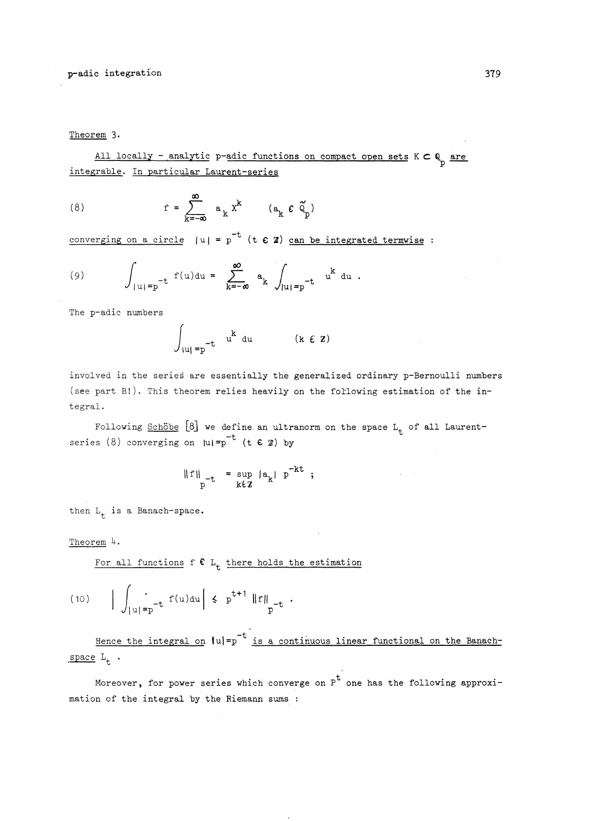Theorem 3.

All locally - analytic p-adic functions on compact open sets  $K \subset \mathbb{Q}$  are integrable. In particular Laurent-series

(8) 
$$
r = \sum_{k=-\infty}^{\infty} a_k x^k \qquad (a_k \in \tilde{Q}_p)
$$

converging on a circle  $|u| = p^{-t}$  (t  $\epsilon$  **Z**) can be integrated termwise :

(9) 
$$
\int_{|u|=p^{-t}} f(u) du = \sum_{k=-\infty}^{\infty} a_k \int_{|u|=p^{-t}} u^k du.
$$

The p-adic numbers

$$
\int_{|u| = p^{-t}} u^k du \qquad (k \in \mathbf{Z})
$$

involved in the series are essentially the generalized ordinary p-Bernoulli numbers (see part B!). This theorem relies heavily on the following estimation of the integral.

Following Schobe [8] we define an ultranorm on the space L<sub>+</sub> of all Laurentrollowing <u>behave</u> [o] we define an ultr<br>series (8) converging on  $|u| = p^{-t}$  (t  $\in \mathbb{Z}$ ) by

$$
\|f\|_{p^{-t}} = \sup_{k\in\mathbb{Z}} |a_k| p^{-kt} ;
$$

then  $L_t$  is a Banach-space.

# Theorem *h.*

For all functions f  $C L_t$  there holds the estimation

(10) 
$$
\left| \int_{|u|=p^{-t}} f(u) du \right| \leq p^{t+1} \|f\|_{p^{-t}}.
$$

Hence the integral on  $|u|=p^{-t}$  is a continuous linear functional on the Banach $space L_t$ .

Moreover, for power series which converge on  $P^t$  one has the following approximation of the integral by the Riemann sums ;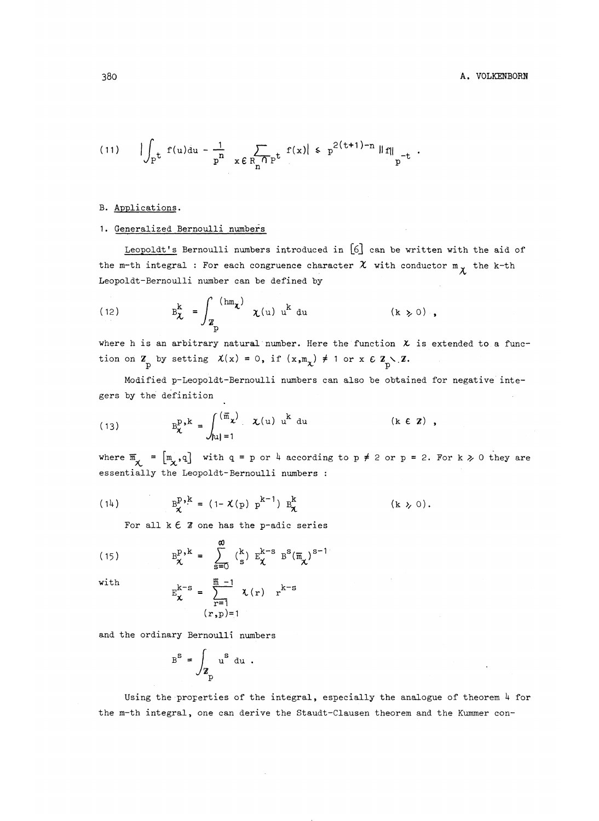(11) 
$$
\left| \int_{\mathbb{P}^{\mathbf{t}}} f(u) du - \frac{1}{p^n} \right|_{x \in R_n \cap \mathbb{P}^{\mathbf{t}}} f(x) \right| \leq p^{2(\mathbf{t}+1)-n} \|f\|_{p^{-\mathbf{t}}}.
$$

## B. Applications.

## 1. Generalized Bernoulli numbers

Leopoldt's Bernoulli numbers introduced in  $[6]$  can be written with the aid of the m-th integral : For each congruence character  $\chi$  with conductor  $m_{\chi}$  the k-th Leopoldt-Bernoulli number can be defined b<br>  $\int_{-k}^{k} \int_{-\infty}^{k}$   $\ln x$   $\int_{-k}^{k}$   $k$ 

(12) 
$$
B_{\chi}^{k} = \int_{Z_{p}}^{(hm_{\chi})} \chi(u) u^{k} du \qquad (k \ge 0),
$$

where h is an arbitrary natural number. Here the function  $\chi$  is extended to a funcwhere *n* is an arbitrary natural number. Here the function<br>tion on  $\mathbf{Z}_{\perp}$  by setting  $\mathcal{X}(x) = 0$ , if  $(x, m_x) \neq 1$  or  $x \in \mathbf{Z}_{\perp}$ .

Modified p-Leopoldt-Bernoulli numbers can also be obtained for negative integers by the definition of the definition of the definition of the definition of the definition of the definition of the definition of the definition of the definition of the definition of the definition of the definition o

gers by the definition

\n
$$
B_{\chi}^{p,k} = \int_{|u|=1}^{(\overline{m}_{\chi})} \chi(u) u^{k} \, du \qquad (k \in \mathbb{Z})
$$

where  $\overline{m} = [m, q]$  with  $q = p$  or  $h$  according to  $p \neq 2$  or  $p = 2$ . For k  $\geq 0$  they are  $\begin{bmatrix} x \\ y \end{bmatrix}$  is the Leopoldt-Bernoulli numbers : essentially the Leopoldt-Bernoulli numbers :

(14) 
$$
B_{\chi}^{p,k} = (1 - \chi(p) p^{k-1}) B_{\chi}^{k}
$$
 (k  $\gg 0$ ).

For all  $k \in \mathbb{Z}$  one has the p-adic series

(15) 
$$
B_{\chi}^{p,k} = \sum_{s=0}^{\infty} {k \choose s} E_{\chi}^{k-s} B^{s} (\overline{n}_{\chi})^{s-1}
$$

with 
$$
E_{\chi}^{k-s} = \sum_{r=1}^{\overline{m} - 1} \chi(r) r^{k-r}
$$

$$
(r, p) = 1
$$

and the ordinary Bernoulli numbers

$$
B^{S} = \int_{Z_{p}} u^{S} du.
$$

Using the properties of the integral, especially the analogue of theorem *k* for the m-th integral, one can derive the Staudt-Clausen theorem and the Kummer con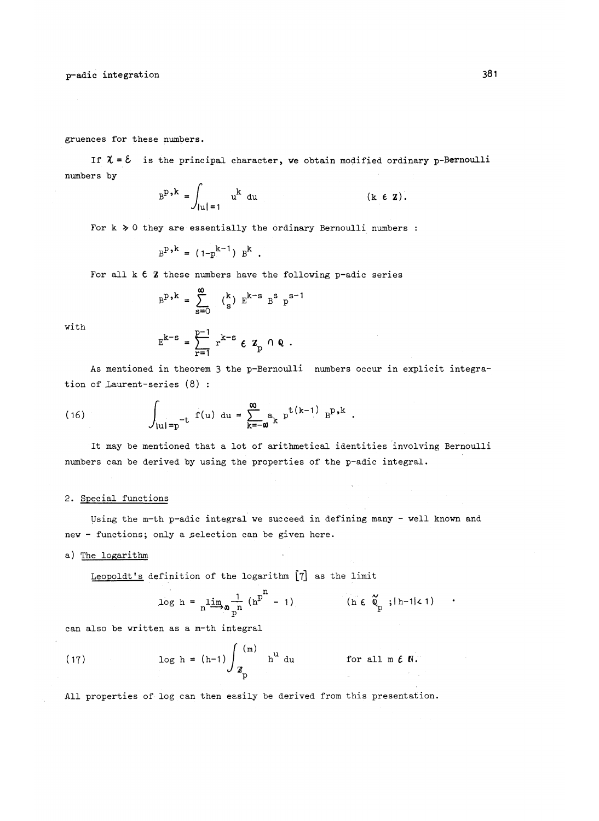p-adic integration 381

gruences for these numbers.

If  $\lambda = \mathcal{E}$  is the principal character, we obtain modified ordinary p-Bernoulli numbers by

$$
BD,k = \int_{|u|=1} uk du \qquad (k \in \mathbf{Z}).
$$

For k  $\geq$  0 they are essentially the ordinary Bernoulli numbers :

$$
B^{p,k} = (1-p^{k-1}) B^{k}
$$
.

For all  $k \in \mathbb{Z}$  these numbers have the following p-adic series

$$
B^{p,k} = \sum_{s=0}^{\infty} (\begin{smallmatrix} k \\ s \end{smallmatrix}) E^{k-s} B^{s} p^{s-1}
$$

with

$$
E^{k-s} = \sum_{r=1}^{p-1} r^{k-s} \epsilon z_p \cap Q.
$$

As mentioned in theorem 3 the p-Bernoulli numbers occur in explicit integration of Laurent-series (8) :

(16) 
$$
\int_{|u| = p^{-t}} f(u) \, du = \sum_{k=-\omega}^{\infty} a_k p^{t(k-1)} p^{p,k}.
$$

It may be mentioned that a lot of arithmetical identities involving Bernoulli numbers can be derived by using the properties of the p-adic integral.

#### 2. Special functions

Using the m-th p-adic integral we succeed in defining many - well known and new - functions; only a selection can be given here.

#### a) The logarithm

Leopoldt's definition of the logarithm [7] as the limit

$$
\log h = \lim_{n \to \infty} \frac{1}{p^n} \left( h^{p^n} - 1 \right) \qquad (\text{h} \in \mathfrak{a}_p; |h-1| < 1)
$$

can also be written as a m-th integral

(17) 
$$
\log h = (h-1) \int_{Z_p}^{(m)} h^u du \qquad \text{for all } m \in \mathbb{N}.
$$

All properties of log can then easily be derived from this presentation.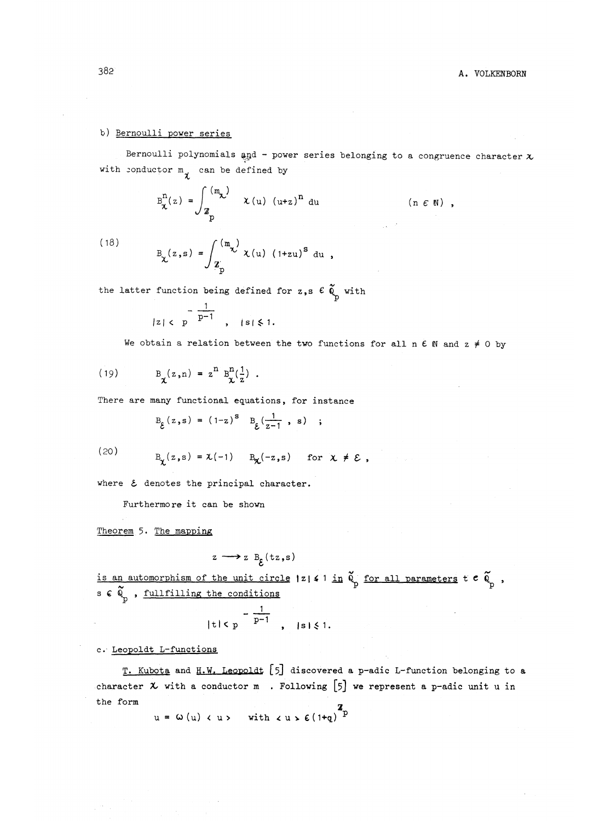# 382 **A. VOLKENBORN**

# b) Bernoulli power series

Bernoulli polynomials and - power series belonging to a congruence character  $x$ with conductor  $m_{\gamma}$  can be defined by

$$
B_{\chi}^{n}(z) = \int_{Z_{p}}^{(m_{\chi})} \chi(u) (u+z)^{n} du \qquad (n \in \mathbb{N}),
$$

(18) 
$$
B_{\chi}(z,s) = \int_{Z_p} \frac{(m_{\chi})}{z} \chi(u) (1+zu)^{s} du,
$$

the latter function being defined for  $z,s \in \tilde{Q}_p$  with

$$
|z| < p \xrightarrow{1} \qquad |s| \leq 1.
$$

We obtain a relation between the two functions for all n  $\epsilon$  N and  $z \neq 0$  by

(19) 
$$
B_{\chi}(z,n) = z^{n} B_{\chi}^{n}(\frac{1}{z})
$$
.

There are many functional equations, for instance

$$
B_{\xi}(z,s) = (1-z)^{s} B_{\xi}(\frac{1}{z-1}, s)
$$
;

(20)

$$
B_{\chi}(z,s) = \chi(-1) \quad B_{\chi}(-z,s) \quad \text{for } \chi \neq \mathcal{E},
$$

where  $\epsilon$  denotes the principal character.

Furthermore it can be shown

Theorem 5. The mapping

$$
z \longrightarrow z B_c(tz,s)
$$

*is an automorphism of the unit circle*  $|z|$  4 <sup>1</sup> in  $\tilde{\phi}$  for all parameters t  $e$   $\tilde{\phi}$  ,  $\tilde{\phi}$  s  $\tilde{\phi}$  of  $\tilde{\phi}$  and  $\tilde{\phi}$  and  $\tilde{\phi}$  and  $\tilde{\phi}$  and  $\tilde{\phi}$  and  $\tilde{\phi}$  and  $\tilde{\phi}$  and  $\tilde{\phi}$ 

$$
|t|< p \frac{1}{p-1}, \quad |s|< 1.
$$

# c. Leopoldt L-functions

T. Kubota and H.W. Leopoldt [5] discovered a p-adic L-function belonging to a character  $x$  with a conductor m . Following [5] we represent a p-adic unit u in the form  $\blacksquare$ 

 $u = \omega(u) \langle u \rangle$  with  $\langle u \rangle \epsilon (1+q)^{2}$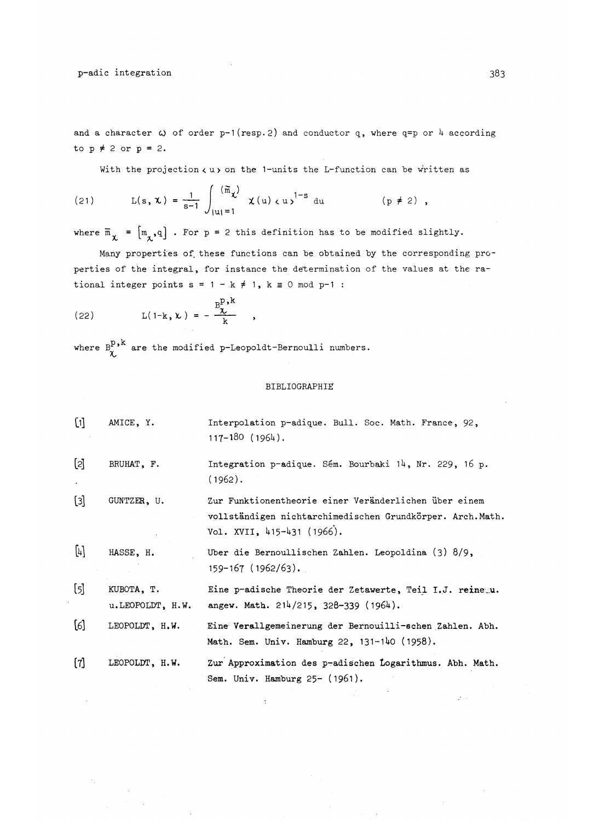p-adic integration 383

and a character  $\omega$  of order p-1(resp.2) and conductor q, where q=p or 4 according to  $p \neq 2$  or  $p = 2$ .

With the projection  $\langle u \rangle$  on the 1-units the L-function can be written as

(21) 
$$
L(s, \mathbf{x}) = \frac{1}{s-1} \int_{|\mathbf{u}|=1}^{(\overline{\mathbf{m}}_{\mathbf{x}})} \mathbf{x}(u) \, du^{-1-s} \, du \qquad (p \neq 2) ,
$$

where  $\overline{m}_{\chi} = [m_{\chi}, q]$ . For p = 2 this definition has to be modified slightly.

Many properties of these functions can be obtained by the corresponding properties of the integral, for instance the determination of the values at the ra-

tional integer points s = 1 - k \ne 1, k \equiv 0 mod p-1 :  
\n(22) 
$$
L(1-k, \lambda) = -\frac{B^D \lambda^k}{k},
$$

where  $B_\chi^{p,k}$  are the modified p-Leopoldt-Bernoulli numbers.

#### BIBLIOGRAPHIC

[1] AMICE, Y. Interpolation p-adique. Bull. Soc. Math. France, 92, 117-180 (196U) . [2] BRUHAT, F. Integration p-adique. Sém. Bourbaki  $14$ , Nr. 229, 16 p. (1962) . [3] GUNTZEK, U. Zur Funktionentheorie einer Veranderlichen uber einem vollständigen nichtarchimedischen Grundkörper. Arch.Math. Vol. XVII, 415-431 (1966). [4] HASSE, H. Uber die Bernoullischen Zahlen. Leopoldina (3) 8/9, 159-167 (1962/63) . *h]* KUBOTA, T. Eine p-adische Theorie der Zetawerte, Teil I.J . **reine..u.** u.LEOPOLDT, H.W. angew. Math. 214/215, 328-339 (1964). [6] LEOPOLDT, H.W . Eine Verallgemeinerung der Bernouilli-echen,Zahlen. Abh. Math. Sem. Univ. Hamburg 22, 131-140 (1958) . [7] LEOPOLDT, H.W. Zur Approximation des p-adischen Logarithmus. Abh. Math. Sem. Univ. Hamburg 25- (1961) .